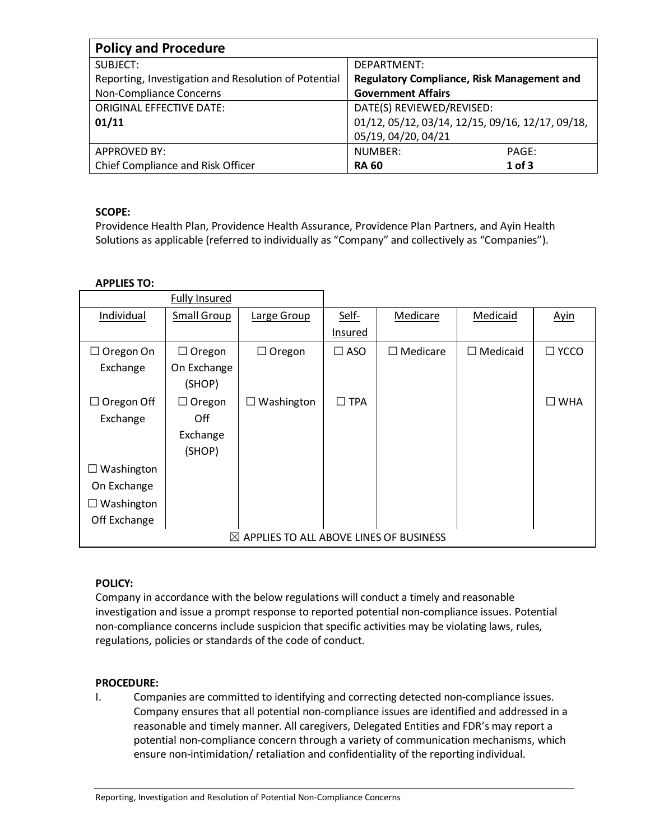| <b>Policy and Procedure</b>                          |                                                   |  |  |  |
|------------------------------------------------------|---------------------------------------------------|--|--|--|
| SUBJECT:                                             | DEPARTMENT:                                       |  |  |  |
| Reporting, Investigation and Resolution of Potential | <b>Regulatory Compliance, Risk Management and</b> |  |  |  |
| Non-Compliance Concerns                              | <b>Government Affairs</b>                         |  |  |  |
| <b>ORIGINAL EFFECTIVE DATE:</b>                      | DATE(S) REVIEWED/REVISED:                         |  |  |  |
| 01/11                                                | 01/12, 05/12, 03/14, 12/15, 09/16, 12/17, 09/18,  |  |  |  |
|                                                      | 05/19, 04/20, 04/21                               |  |  |  |
| <b>APPROVED BY:</b>                                  | NUMBER:<br>PAGE:                                  |  |  |  |
| Chief Compliance and Risk Officer                    | $1$ of $3$<br><b>RA 60</b>                        |  |  |  |

# **SCOPE:**

Providence Health Plan, Providence Health Assurance, Providence Plan Partners, and Ayin Health Solutions as applicable (referred to individually as "Company" and collectively as "Companies").

# **APPLIES TO:**

|                                                    | <b>Fully Insured</b> |                   |               |                     |                 |                |
|----------------------------------------------------|----------------------|-------------------|---------------|---------------------|-----------------|----------------|
| Individual                                         | <b>Small Group</b>   | Large Group       | Self-         | Medicare            | Medicaid        | <b>Ayin</b>    |
|                                                    |                      |                   | Insured       |                     |                 |                |
| $\Box$ Oregon On                                   | $\Box$ Oregon        | $\Box$ Oregon     | $\square$ ASO | Medicare<br>$\perp$ | $\Box$ Medicaid | $\square$ YCCO |
| Exchange                                           | On Exchange          |                   |               |                     |                 |                |
|                                                    | (SHOP)               |                   |               |                     |                 |                |
| $\Box$ Oregon Off                                  | $\Box$ Oregon        | $\Box$ Washington | $\Box$ TPA    |                     |                 | $\square$ WHA  |
| Exchange                                           | Off                  |                   |               |                     |                 |                |
|                                                    | Exchange             |                   |               |                     |                 |                |
|                                                    | (SHOP)               |                   |               |                     |                 |                |
| $\Box$ Washington                                  |                      |                   |               |                     |                 |                |
| On Exchange                                        |                      |                   |               |                     |                 |                |
| $\Box$ Washington                                  |                      |                   |               |                     |                 |                |
| Off Exchange                                       |                      |                   |               |                     |                 |                |
| $\boxtimes$ APPLIES TO ALL ABOVE LINES OF BUSINESS |                      |                   |               |                     |                 |                |

## **POLICY:**

Company in accordance with the below regulations will conduct a timely and reasonable investigation and issue a prompt response to reported potential non-compliance issues. Potential non-compliance concerns include suspicion that specific activities may be violating laws, rules, regulations, policies or standards of the code of conduct.

## **PROCEDURE:**

I. Companies are committed to identifying and correcting detected non-compliance issues. Company ensures that all potential non-compliance issues are identified and addressed in a reasonable and timely manner. All caregivers, Delegated Entities and FDR's may report a potential non-compliance concern through a variety of communication mechanisms, which ensure non-intimidation/ retaliation and confidentiality of the reporting individual.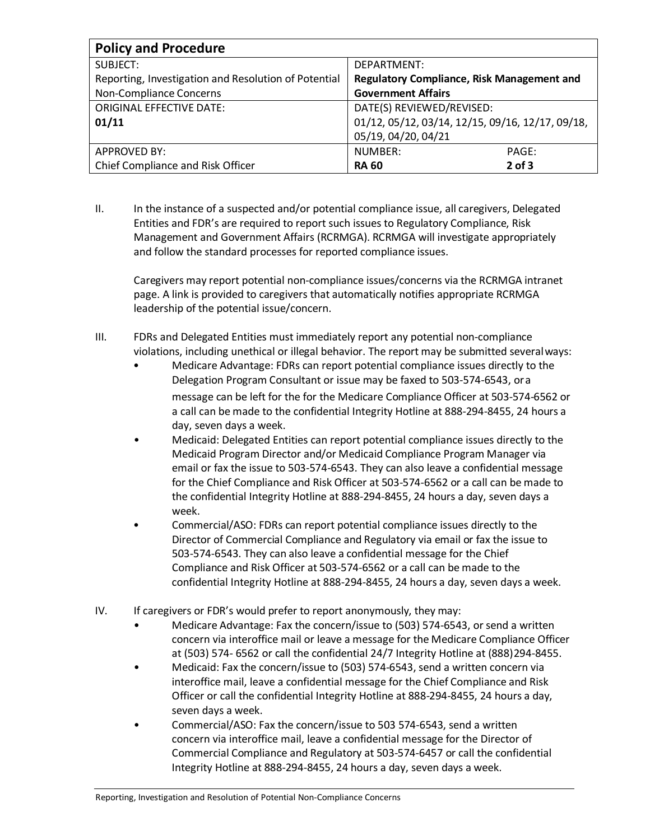| <b>Policy and Procedure</b>                          |                                                  |  |  |  |
|------------------------------------------------------|--------------------------------------------------|--|--|--|
| SUBJECT:                                             | DEPARTMENT:                                      |  |  |  |
| Reporting, Investigation and Resolution of Potential | Regulatory Compliance, Risk Management and       |  |  |  |
| Non-Compliance Concerns                              | <b>Government Affairs</b>                        |  |  |  |
| <b>ORIGINAL EFFECTIVE DATE:</b>                      | DATE(S) REVIEWED/REVISED:                        |  |  |  |
| 01/11                                                | 01/12, 05/12, 03/14, 12/15, 09/16, 12/17, 09/18, |  |  |  |
|                                                      | 05/19, 04/20, 04/21                              |  |  |  |
| <b>APPROVED BY:</b>                                  | NUMBER:<br>PAGE:                                 |  |  |  |
| Chief Compliance and Risk Officer                    | $2$ of $3$<br><b>RA 60</b>                       |  |  |  |

II. In the instance of a suspected and/or potential compliance issue, all caregivers, Delegated Entities and FDR's are required to report such issues to Regulatory Compliance, Risk Management and Government Affairs (RCRMGA). RCRMGA will investigate appropriately and follow the standard processes for reported compliance issues.

Caregivers may report potential non-compliance issues/concerns via the RCRMGA intranet page. A link is provided to caregivers that automatically notifies appropriate RCRMGA leadership of the potential issue/concern.

- III. FDRs and Delegated Entities must immediately report any potential non-compliance violations, including unethical or illegal behavior. The report may be submitted severalways:
	- Medicare Advantage: FDRs can report potential compliance issues directly to the Delegation Program Consultant or issue may be faxed to 503-574-6543, ora message can be left for the for the Medicare Compliance Officer at 503-574-6562 or a call can be made to the confidential Integrity Hotline at 888-294-8455, 24 hours a day, seven days a week.
	- Medicaid: Delegated Entities can report potential compliance issues directly to the Medicaid Program Director and/or Medicaid Compliance Program Manager via email or fax the issue to 503-574-6543. They can also leave a confidential message for the Chief Compliance and Risk Officer at 503-574-6562 or a call can be made to the confidential Integrity Hotline at 888-294-8455, 24 hours a day, seven days a week.
	- Commercial/ASO: FDRs can report potential compliance issues directly to the Director of Commercial Compliance and Regulatory via email or fax the issue to 503-574-6543. They can also leave a confidential message for the Chief Compliance and Risk Officer at 503-574-6562 or a call can be made to the confidential Integrity Hotline at 888-294-8455, 24 hours a day, seven days a week.
- IV. If caregivers or FDR's would prefer to report anonymously, they may:
	- Medicare Advantage: Fax the concern/issue to (503) 574-6543, or send a written concern via interoffice mail or leave a message for the Medicare Compliance Officer at (503) 574- 6562 or call the confidential 24/7 Integrity Hotline at (888)294-8455.
	- Medicaid: Fax the concern/issue to (503) 574-6543, send a written concern via interoffice mail, leave a confidential message for the Chief Compliance and Risk Officer or call the confidential Integrity Hotline at 888-294-8455, 24 hours a day, seven days a week.
	- Commercial/ASO: Fax the concern/issue to 503 574-6543, send a written concern via interoffice mail, leave a confidential message for the Director of Commercial Compliance and Regulatory at 503-574-6457 or call the confidential Integrity Hotline at 888-294-8455, 24 hours a day, seven days a week.